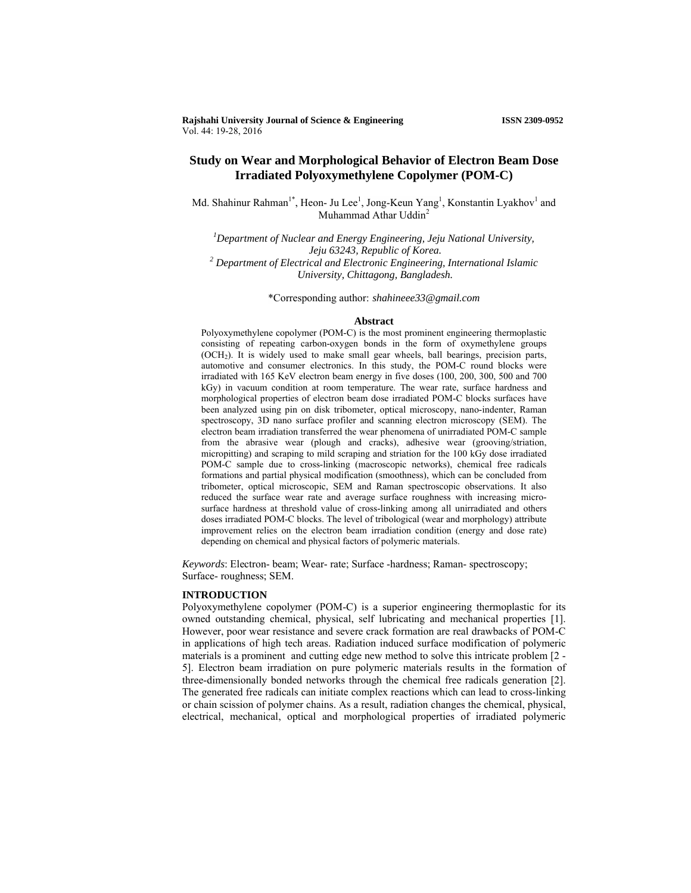**Rajshahi University Journal of Science & Engineering ISSN 2309-0952** Vol. 44: 19-28, 2016

# **Study on Wear and Morphological Behavior of Electron Beam Dose Irradiated Polyoxymethylene Copolymer (POM-C)**

Md. Shahinur Rahman<sup>1\*</sup>, Heon- Ju Lee<sup>1</sup>, Jong-Keun Yang<sup>1</sup>, Konstantin Lyakhov<sup>1</sup> and Muhammad Athar Uddin<sup>2</sup>

*1 Department of Nuclear and Energy Engineering, Jeju National University, Jeju 63243, Republic of Korea. 2 Department of Electrical and Electronic Engineering, International Islamic University, Chittagong, Bangladesh.* 

\*Corresponding author: *shahineee33@gmail.com*

### **Abstract**

Polyoxymethylene copolymer (POM-C) is the most prominent engineering thermoplastic consisting of repeating carbon-oxygen bonds in the form of oxymethylene groups (OCH2). It is widely used to make small gear wheels, ball bearings, precision parts, automotive and consumer electronics. In this study, the POM-C round blocks were irradiated with 165 KeV electron beam energy in five doses (100, 200, 300, 500 and 700 kGy) in vacuum condition at room temperature. The wear rate, surface hardness and morphological properties of electron beam dose irradiated POM-C blocks surfaces have been analyzed using pin on disk tribometer, optical microscopy, nano-indenter, Raman spectroscopy, 3D nano surface profiler and scanning electron microscopy (SEM). The electron beam irradiation transferred the wear phenomena of unirradiated POM-C sample from the abrasive wear (plough and cracks), adhesive wear (grooving/striation, micropitting) and scraping to mild scraping and striation for the 100 kGy dose irradiated POM-C sample due to cross-linking (macroscopic networks), chemical free radicals formations and partial physical modification (smoothness), which can be concluded from tribometer, optical microscopic, SEM and Raman spectroscopic observations. It also reduced the surface wear rate and average surface roughness with increasing microsurface hardness at threshold value of cross-linking among all unirradiated and others doses irradiated POM-C blocks. The level of tribological (wear and morphology) attribute improvement relies on the electron beam irradiation condition (energy and dose rate) depending on chemical and physical factors of polymeric materials.

*Keywords*: Electron- beam; Wear- rate; Surface -hardness; Raman- spectroscopy; Surface- roughness; SEM.

#### **INTRODUCTION**

Polyoxymethylene copolymer (POM-C) is a superior engineering thermoplastic for its owned outstanding chemical, physical, self lubricating and mechanical properties [1]. However, poor wear resistance and severe crack formation are real drawbacks of POM-C in applications of high tech areas. Radiation induced surface modification of polymeric materials is a prominent and cutting edge new method to solve this intricate problem [2 - 5]. Electron beam irradiation on pure polymeric materials results in the formation of three-dimensionally bonded networks through the chemical free radicals generation [2]. The generated free radicals can initiate complex reactions which can lead to cross-linking or chain scission of polymer chains. As a result, radiation changes the chemical, physical, electrical, mechanical, optical and morphological properties of irradiated polymeric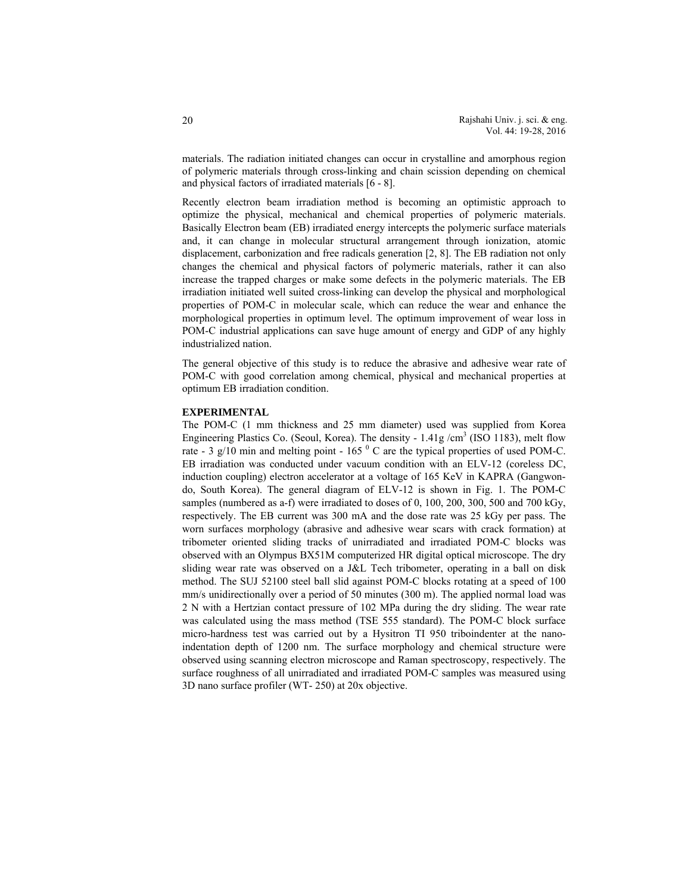materials. The radiation initiated changes can occur in crystalline and amorphous region of polymeric materials through cross-linking and chain scission depending on chemical and physical factors of irradiated materials [6 - 8].

Recently electron beam irradiation method is becoming an optimistic approach to optimize the physical, mechanical and chemical properties of polymeric materials. Basically Electron beam (EB) irradiated energy intercepts the polymeric surface materials and, it can change in molecular structural arrangement through ionization, atomic displacement, carbonization and free radicals generation [2, 8]. The EB radiation not only changes the chemical and physical factors of polymeric materials, rather it can also increase the trapped charges or make some defects in the polymeric materials. The EB irradiation initiated well suited cross-linking can develop the physical and morphological properties of POM-C in molecular scale, which can reduce the wear and enhance the morphological properties in optimum level. The optimum improvement of wear loss in POM-C industrial applications can save huge amount of energy and GDP of any highly industrialized nation.

The general objective of this study is to reduce the abrasive and adhesive wear rate of POM-C with good correlation among chemical, physical and mechanical properties at optimum EB irradiation condition.

## **EXPERIMENTAL**

The POM-C (1 mm thickness and 25 mm diameter) used was supplied from Korea Engineering Plastics Co. (Seoul, Korea). The density -  $1.41g/cm<sup>3</sup>$  (ISO 1183), melt flow rate - 3  $g/10$  min and melting point - 165<sup> $0$ </sup> C are the typical properties of used POM-C. EB irradiation was conducted under vacuum condition with an ELV-12 (coreless DC, induction coupling) electron accelerator at a voltage of 165 KeV in KAPRA (Gangwondo, South Korea). The general diagram of ELV-12 is shown in Fig. 1. The POM-C samples (numbered as a-f) were irradiated to doses of 0, 100, 200, 300, 500 and 700 kGy, respectively. The EB current was 300 mA and the dose rate was 25 kGy per pass. The worn surfaces morphology (abrasive and adhesive wear scars with crack formation) at tribometer oriented sliding tracks of unirradiated and irradiated POM-C blocks was observed with an Olympus BX51M computerized HR digital optical microscope. The dry sliding wear rate was observed on a J&L Tech tribometer, operating in a ball on disk method. The SUJ 52100 steel ball slid against POM-C blocks rotating at a speed of 100 mm/s unidirectionally over a period of 50 minutes (300 m). The applied normal load was 2 N with a Hertzian contact pressure of 102 MPa during the dry sliding. The wear rate was calculated using the mass method (TSE 555 standard). The POM-C block surface micro-hardness test was carried out by a Hysitron TI 950 triboindenter at the nanoindentation depth of 1200 nm. The surface morphology and chemical structure were observed using scanning electron microscope and Raman spectroscopy, respectively. The surface roughness of all unirradiated and irradiated POM-C samples was measured using 3D nano surface profiler (WT- 250) at 20x objective.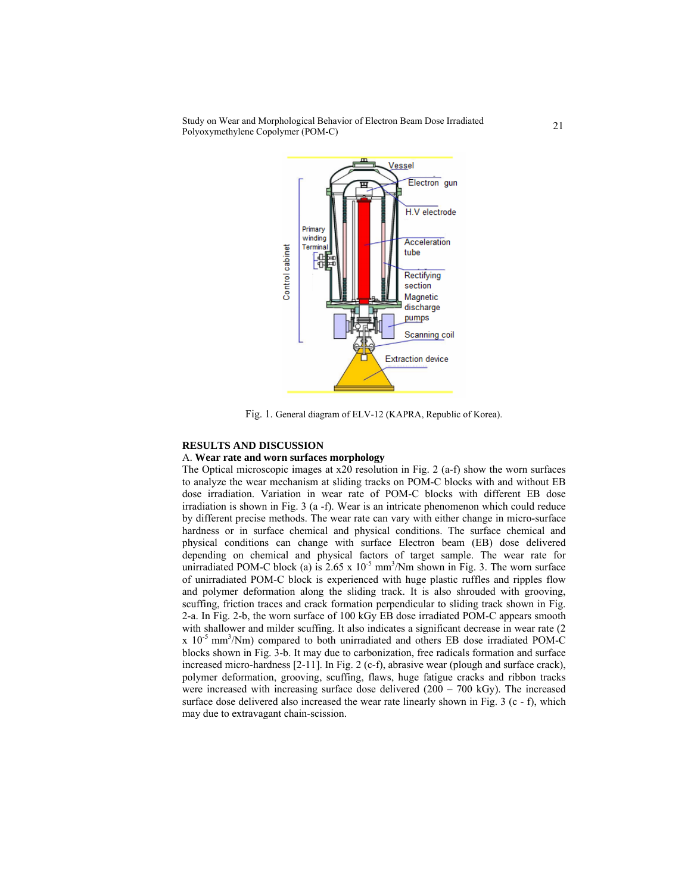Study on Wear and Morphological Behavior of Electron Beam Dose Irradiated <sup>21</sup> Sulay on wear and Morphological Benavior of Electron Beam Dose firadiated<br>Polyoxymethylene Copolymer (POM-C)



Fig. 1. General diagram of ELV-12 (KAPRA, Republic of Korea).

# **RESULTS AND DISCUSSION**

## A. **Wear rate and worn surfaces morphology**

The Optical microscopic images at x20 resolution in Fig. 2 (a-f) show the worn surfaces to analyze the wear mechanism at sliding tracks on POM-C blocks with and without EB dose irradiation. Variation in wear rate of POM-C blocks with different EB dose irradiation is shown in Fig. 3 (a -f). Wear is an intricate phenomenon which could reduce by different precise methods. The wear rate can vary with either change in micro-surface hardness or in surface chemical and physical conditions. The surface chemical and physical conditions can change with surface Electron beam (EB) dose delivered depending on chemical and physical factors of target sample. The wear rate for unirradiated POM-C block (a) is  $2.65 \times 10^{-5}$  mm<sup>3</sup>/Nm shown in Fig. 3. The worn surface of unirradiated POM-C block is experienced with huge plastic ruffles and ripples flow and polymer deformation along the sliding track. It is also shrouded with grooving, scuffing, friction traces and crack formation perpendicular to sliding track shown in Fig. 2-a. In Fig. 2-b, the worn surface of 100 kGy EB dose irradiated POM-C appears smooth with shallower and milder scuffing. It also indicates a significant decrease in wear rate (2) x 10-5 mm3 /Nm) compared to both unirradiated and others EB dose irradiated POM-C blocks shown in Fig. 3-b. It may due to carbonization, free radicals formation and surface increased micro-hardness [2-11]. In Fig. 2 (c-f), abrasive wear (plough and surface crack), polymer deformation, grooving, scuffing, flaws, huge fatigue cracks and ribbon tracks were increased with increasing surface dose delivered (200 – 700 kGy). The increased surface dose delivered also increased the wear rate linearly shown in Fig. 3 (c - f), which may due to extravagant chain-scission.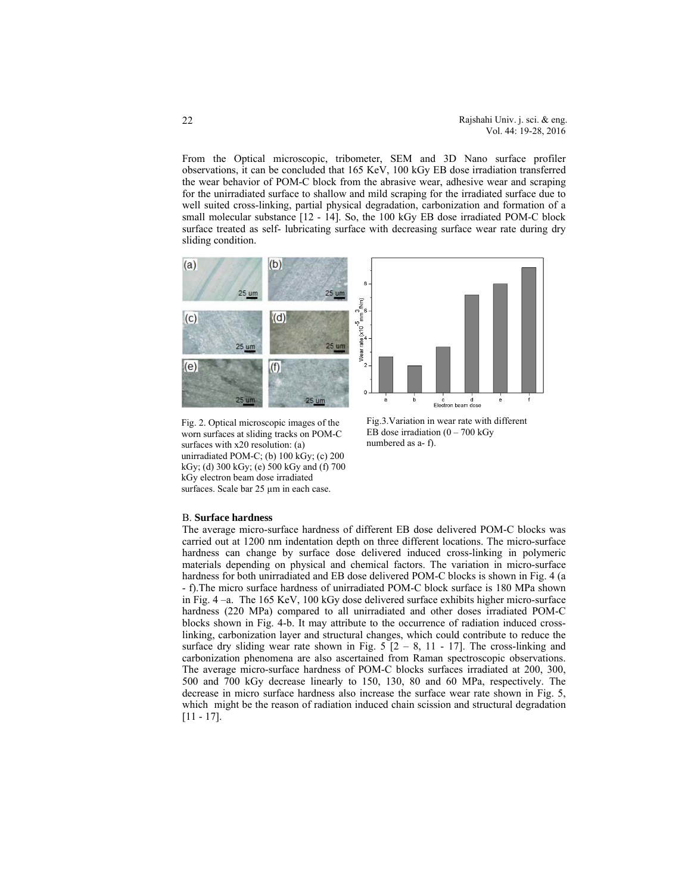From the Optical microscopic, tribometer, SEM and 3D Nano surface profiler observations, it can be concluded that 165 KeV, 100 kGy EB dose irradiation transferred the wear behavior of POM-C block from the abrasive wear, adhesive wear and scraping for the unirradiated surface to shallow and mild scraping for the irradiated surface due to well suited cross-linking, partial physical degradation, carbonization and formation of a small molecular substance [12 - 14]. So, the 100 kGy EB dose irradiated POM-C block surface treated as self- lubricating surface with decreasing surface wear rate during dry sliding condition.



Fig. 2. Optical microscopic images of the worn surfaces at sliding tracks on POM-C surfaces with x20 resolution: (a) unirradiated POM-C; (b) 100 kGy; (c) 200 kGy; (d) 300 kGy; (e) 500 kGy and (f) 700 kGy electron beam dose irradiated surfaces. Scale bar 25 µm in each case.

Fig.3.Variation in wear rate with different EB dose irradiation  $(0 - 700 \text{ kGy})$ numbered as a- f).

#### B. **Surface hardness**

The average micro-surface hardness of different EB dose delivered POM-C blocks was carried out at 1200 nm indentation depth on three different locations. The micro-surface hardness can change by surface dose delivered induced cross-linking in polymeric materials depending on physical and chemical factors. The variation in micro-surface hardness for both unirradiated and EB dose delivered POM-C blocks is shown in Fig. 4 (a - f).The micro surface hardness of unirradiated POM-C block surface is 180 MPa shown in Fig. 4 –a. The 165 KeV, 100 kGy dose delivered surface exhibits higher micro-surface hardness (220 MPa) compared to all unirradiated and other doses irradiated POM-C blocks shown in Fig. 4-b. It may attribute to the occurrence of radiation induced crosslinking, carbonization layer and structural changes, which could contribute to reduce the surface dry sliding wear rate shown in Fig.  $5 [2 - 8, 11 - 17]$ . The cross-linking and carbonization phenomena are also ascertained from Raman spectroscopic observations. The average micro-surface hardness of POM-C blocks surfaces irradiated at 200, 300, 500 and 700 kGy decrease linearly to 150, 130, 80 and 60 MPa, respectively. The decrease in micro surface hardness also increase the surface wear rate shown in Fig. 5, which might be the reason of radiation induced chain scission and structural degradation [11 - 17].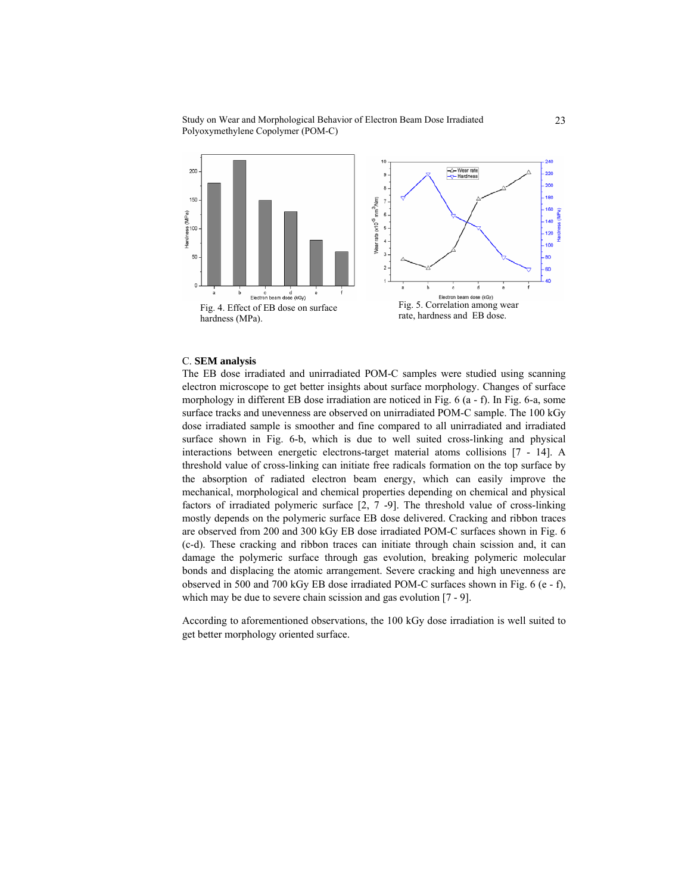Study on Wear and Morphological Behavior of Electron Beam Dose Irradiated Polyoxymethylene Copolymer (POM-C)



### C. **SEM analysis**

The EB dose irradiated and unirradiated POM-C samples were studied using scanning electron microscope to get better insights about surface morphology. Changes of surface morphology in different EB dose irradiation are noticed in Fig. 6 (a - f). In Fig. 6-a, some surface tracks and unevenness are observed on unirradiated POM-C sample. The 100 kGy dose irradiated sample is smoother and fine compared to all unirradiated and irradiated surface shown in Fig. 6-b, which is due to well suited cross-linking and physical interactions between energetic electrons-target material atoms collisions [7 - 14]. A threshold value of cross-linking can initiate free radicals formation on the top surface by the absorption of radiated electron beam energy, which can easily improve the mechanical, morphological and chemical properties depending on chemical and physical factors of irradiated polymeric surface [2, 7 -9]. The threshold value of cross-linking mostly depends on the polymeric surface EB dose delivered. Cracking and ribbon traces are observed from 200 and 300 kGy EB dose irradiated POM-C surfaces shown in Fig. 6 (c-d). These cracking and ribbon traces can initiate through chain scission and, it can damage the polymeric surface through gas evolution, breaking polymeric molecular bonds and displacing the atomic arrangement. Severe cracking and high unevenness are observed in 500 and 700 kGy EB dose irradiated POM-C surfaces shown in Fig. 6 (e - f), which may be due to severe chain scission and gas evolution [7 - 9].

According to aforementioned observations, the 100 kGy dose irradiation is well suited to get better morphology oriented surface.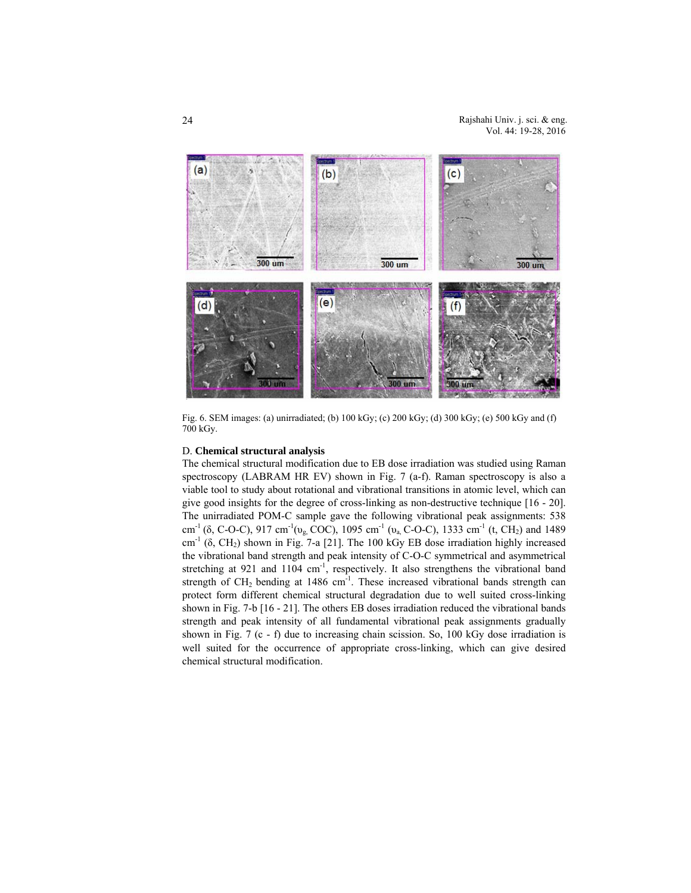

Fig. 6. SEM images: (a) unirradiated; (b) 100 kGy; (c) 200 kGy; (d) 300 kGy; (e) 500 kGy and (f) 700 kGy.

### D. **Chemical structural analysis**

The chemical structural modification due to EB dose irradiation was studied using Raman spectroscopy (LABRAM HR EV) shown in Fig. 7 (a-f). Raman spectroscopy is also a viable tool to study about rotational and vibrational transitions in atomic level, which can give good insights for the degree of cross-linking as non-destructive technique [16 - 20]. The unirradiated POM-C sample gave the following vibrational peak assignments: 538 cm<sup>-1</sup> (δ, C-O-C), 917 cm<sup>-1</sup>(υ<sub>g,</sub> COC), 1095 cm<sup>-1</sup> (υ<sub>a,</sub> C-O-C), 1333 cm<sup>-1</sup> (t, CH<sub>2</sub>) and 1489 cm<sup>-1</sup> ( $\delta$ , CH<sub>2</sub>) shown in Fig. 7-a [21]. The 100 kGy EB dose irradiation highly increased the vibrational band strength and peak intensity of C-O-C symmetrical and asymmetrical stretching at 921 and 1104 cm<sup>-1</sup>, respectively. It also strengthens the vibrational band strength of  $CH_2$  bending at 1486  $cm^{-1}$ . These increased vibrational bands strength can protect form different chemical structural degradation due to well suited cross-linking shown in Fig. 7-b [16 - 21]. The others EB doses irradiation reduced the vibrational bands strength and peak intensity of all fundamental vibrational peak assignments gradually shown in Fig. 7 (c - f) due to increasing chain scission. So, 100 kGy dose irradiation is well suited for the occurrence of appropriate cross-linking, which can give desired chemical structural modification.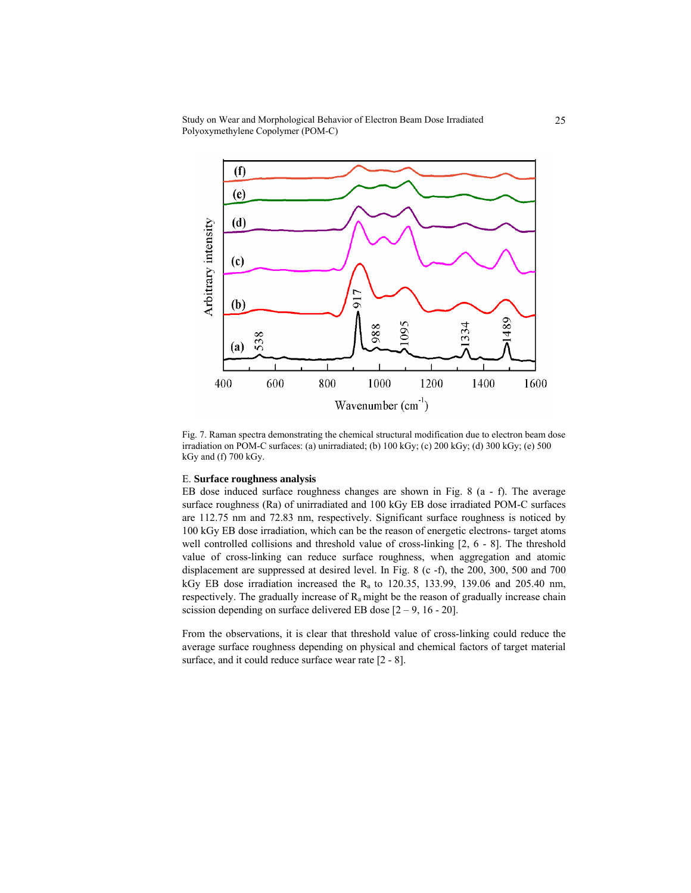Study on Wear and Morphological Behavior of Electron Beam Dose Irradiated Polyoxymethylene Copolymer (POM-C)



Fig. 7. Raman spectra demonstrating the chemical structural modification due to electron beam dose irradiation on POM-C surfaces: (a) unirradiated; (b) 100 kGy; (c) 200 kGy; (d) 300 kGy; (e) 500 kGy and (f) 700 kGy.

## E. **Surface roughness analysis**

EB dose induced surface roughness changes are shown in Fig. 8 (a - f). The average surface roughness (Ra) of unirradiated and 100 kGy EB dose irradiated POM-C surfaces are 112.75 nm and 72.83 nm, respectively. Significant surface roughness is noticed by 100 kGy EB dose irradiation, which can be the reason of energetic electrons- target atoms well controlled collisions and threshold value of cross-linking [2, 6 - 8]. The threshold value of cross-linking can reduce surface roughness, when aggregation and atomic displacement are suppressed at desired level. In Fig. 8 (c -f), the 200, 300, 500 and 700 kGy EB dose irradiation increased the  $R_a$  to 120.35, 133.99, 139.06 and 205.40 nm, respectively. The gradually increase of  $R_a$  might be the reason of gradually increase chain scission depending on surface delivered EB dose  $[2 - 9, 16 - 20]$ .

From the observations, it is clear that threshold value of cross-linking could reduce the average surface roughness depending on physical and chemical factors of target material surface, and it could reduce surface wear rate  $[2 - 8]$ .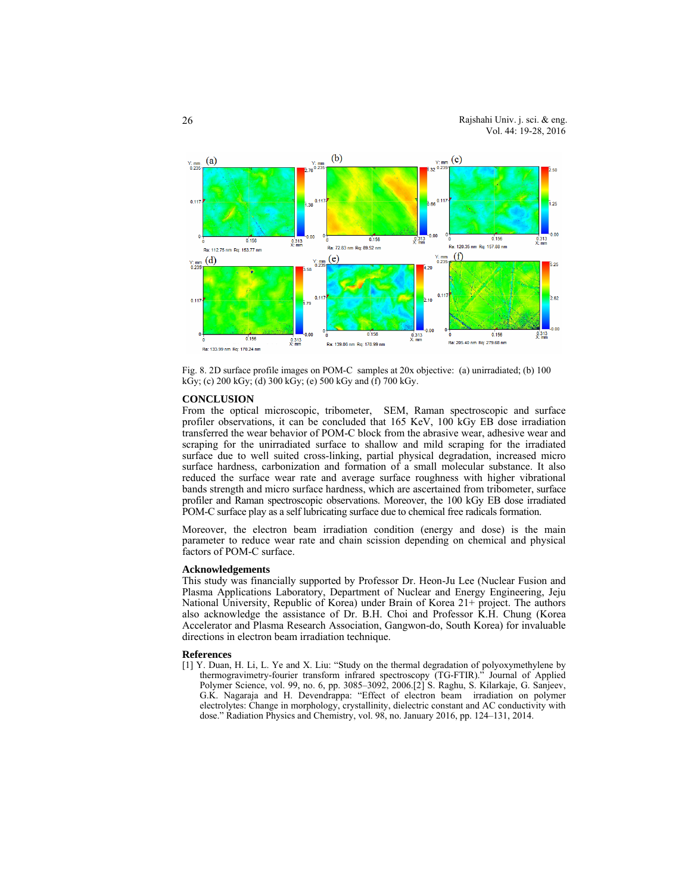

Fig. 8. 2D surface profile images on POM-C samples at 20x objective: (a) unirradiated; (b) 100 kGy; (c) 200 kGy; (d) 300 kGy; (e) 500 kGy and (f) 700 kGy.

#### **CONCLUSION**

From the optical microscopic, tribometer, SEM, Raman spectroscopic and surface profiler observations, it can be concluded that 165 KeV, 100 kGy EB dose irradiation transferred the wear behavior of POM-C block from the abrasive wear, adhesive wear and scraping for the unirradiated surface to shallow and mild scraping for the irradiated surface due to well suited cross-linking, partial physical degradation, increased micro surface hardness, carbonization and formation of a small molecular substance. It also reduced the surface wear rate and average surface roughness with higher vibrational bands strength and micro surface hardness, which are ascertained from tribometer, surface profiler and Raman spectroscopic observations. Moreover, the 100 kGy EB dose irradiated POM-C surface play as a self lubricating surface due to chemical free radicals formation.

Moreover, the electron beam irradiation condition (energy and dose) is the main parameter to reduce wear rate and chain scission depending on chemical and physical factors of POM-C surface.

### **Acknowledgements**

This study was financially supported by Professor Dr. Heon-Ju Lee (Nuclear Fusion and Plasma Applications Laboratory, Department of Nuclear and Energy Engineering, Jeju National University, Republic of Korea) under Brain of Korea 21+ project. The authors also acknowledge the assistance of Dr. B.H. Choi and Professor K.H. Chung (Korea Accelerator and Plasma Research Association, Gangwon-do, South Korea) for invaluable directions in electron beam irradiation technique.

#### **References**

[1] Y. Duan, H. Li, L. Ye and X. Liu: "Study on the thermal degradation of polyoxymethylene by thermogravimetry-fourier transform infrared spectroscopy (TG-FTIR)." Journal of Applied Polymer Science, vol. 99, no. 6, pp. 3085–3092, 2006.[2] S. Raghu, S. Kilarkaje, G. Sanjeev, G.K. Nagaraja and H. Devendrappa: "Effect of electron beam irradiation on polymer electrolytes: Change in morphology, crystallinity, dielectric constant and AC conductivity with dose." Radiation Physics and Chemistry, vol. 98, no. January 2016, pp. 124–131, 2014.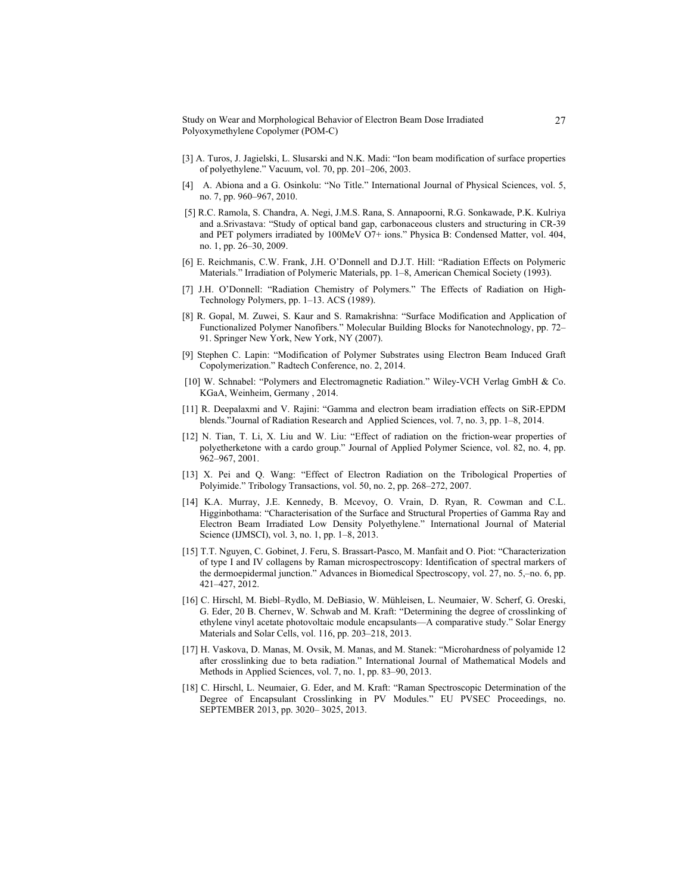Study on Wear and Morphological Behavior of Electron Beam Dose Irradiated Polyoxymethylene Copolymer (POM-C)

- [3] A. Turos, J. Jagielski, L. Slusarski and N.K. Madi: "Ion beam modification of surface properties of polyethylene." Vacuum, vol. 70, pp. 201–206, 2003.
- [4] A. Abiona and a G. Osinkolu: "No Title." International Journal of Physical Sciences, vol. 5, no. 7, pp. 960–967, 2010.
- [5] R.C. Ramola, S. Chandra, A. Negi, J.M.S. Rana, S. Annapoorni, R.G. Sonkawade, P.K. Kulriya and a.Srivastava: "Study of optical band gap, carbonaceous clusters and structuring in CR-39 and PET polymers irradiated by 100MeV O7+ ions." Physica B: Condensed Matter, vol. 404, no. 1, pp. 26–30, 2009.
- [6] E. Reichmanis, C.W. Frank, J.H. O'Donnell and D.J.T. Hill: "Radiation Effects on Polymeric Materials." Irradiation of Polymeric Materials, pp. 1–8, American Chemical Society (1993).
- [7] J.H. O'Donnell: "Radiation Chemistry of Polymers." The Effects of Radiation on High-Technology Polymers, pp. 1–13. ACS (1989).
- [8] R. Gopal, M. Zuwei, S. Kaur and S. Ramakrishna: "Surface Modification and Application of Functionalized Polymer Nanofibers." Molecular Building Blocks for Nanotechnology, pp. 72– 91. Springer New York, New York, NY (2007).
- [9] Stephen C. Lapin: "Modification of Polymer Substrates using Electron Beam Induced Graft Copolymerization." Radtech Conference, no. 2, 2014.
- [10] W. Schnabel: "Polymers and Electromagnetic Radiation." Wiley-VCH Verlag GmbH & Co. KGaA, Weinheim, Germany , 2014.
- [11] R. Deepalaxmi and V. Rajini: "Gamma and electron beam irradiation effects on SiR-EPDM blends."Journal of Radiation Research and Applied Sciences, vol. 7, no. 3, pp. 1–8, 2014.
- [12] N. Tian, T. Li, X. Liu and W. Liu: "Effect of radiation on the friction-wear properties of polyetherketone with a cardo group." Journal of Applied Polymer Science, vol. 82, no. 4, pp. 962–967, 2001.
- [13] X. Pei and Q. Wang: "Effect of Electron Radiation on the Tribological Properties of Polyimide." Tribology Transactions, vol. 50, no. 2, pp. 268–272, 2007.
- [14] K.A. Murray, J.E. Kennedy, B. Mcevoy, O. Vrain, D. Ryan, R. Cowman and C.L. Higginbothama: "Characterisation of the Surface and Structural Properties of Gamma Ray and Electron Beam Irradiated Low Density Polyethylene." International Journal of Material Science (IJMSCI), vol. 3, no. 1, pp. 1–8, 2013.
- [15] T.T. Nguyen, C. Gobinet, J. Feru, S. Brassart-Pasco, M. Manfait and O. Piot: "Characterization of type I and IV collagens by Raman microspectroscopy: Identification of spectral markers of the dermoepidermal junction." Advances in Biomedical Spectroscopy, vol. 27, no. 5,–no. 6, pp. 421–427, 2012.
- [16] C. Hirschl, M. Biebl–Rydlo, M. DeBiasio, W. Mühleisen, L. Neumaier, W. Scherf, G. Oreski, G. Eder, 20 B. Chernev, W. Schwab and M. Kraft: "Determining the degree of crosslinking of ethylene vinyl acetate photovoltaic module encapsulants—A comparative study." Solar Energy Materials and Solar Cells, vol. 116, pp. 203–218, 2013.
- [17] H. Vaskova, D. Manas, M. Ovsik, M. Manas, and M. Stanek: "Microhardness of polyamide 12 after crosslinking due to beta radiation." International Journal of Mathematical Models and Methods in Applied Sciences, vol. 7, no. 1, pp. 83–90, 2013.
- [18] C. Hirschl, L. Neumaier, G. Eder, and M. Kraft: "Raman Spectroscopic Determination of the Degree of Encapsulant Crosslinking in PV Modules." EU PVSEC Proceedings, no. SEPTEMBER 2013, pp. 3020– 3025, 2013.